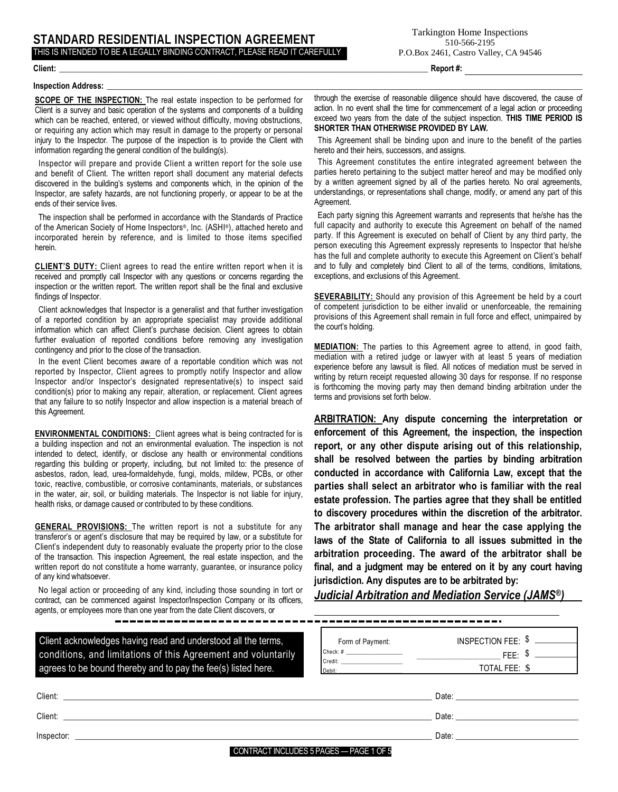# **STANDARD RESIDENTIAL INSPECTION AGREEMENT** THIS IS INTENDED TO BE A LEGALLY BINDING CONTRACT, PLEASE READ IT CAREFULLY

**Client: \_\_\_\_\_\_\_\_\_\_\_\_\_\_\_\_\_\_\_\_\_\_\_\_\_\_\_\_\_\_\_\_\_\_\_\_\_\_\_\_\_\_\_\_\_\_\_\_\_\_\_\_\_\_\_\_\_\_\_\_\_\_\_\_\_\_\_\_\_\_\_\_\_\_\_\_\_\_\_\_\_\_\_\_\_\_\_\_\_\_\_\_\_ Report #:**

#### **Inspection Address: \_\_\_\_\_\_\_\_\_\_\_\_\_\_\_\_\_\_\_\_\_\_\_\_\_\_\_\_\_\_\_\_\_\_\_\_\_\_\_\_\_\_\_\_\_\_\_\_\_\_\_\_\_\_\_\_\_\_\_\_\_\_\_\_\_\_\_\_\_\_\_\_\_\_\_\_\_\_\_\_\_\_\_\_\_\_\_\_\_\_\_\_\_\_\_\_\_\_\_\_\_\_\_\_\_\_\_\_\_\_\_\_\_\_\_\_\_\_\_\_**

**SCOPE OF THE INSPECTION:** The real estate inspection to be performed for Client is a survey and basic operation of the systems and components of a building which can be reached, entered, or viewed without difficulty, moving obstructions, or requiring any action which may result in damage to the property or personal injury to the Inspector. The purpose of the inspection is to provide the Client with information regarding the general condition of the building(s).

Inspector will prepare and provide Client a written report for the sole use and benefit of Client. The written report shall document any material defects discovered in the building's systems and components which, in the opinion of the Inspector, are safety hazards, are not functioning properly, or appear to be at the ends of their service lives.

The inspection shall be performed in accordance with the Standards of Practice of the American Society of Home Inspectors®, Inc. (ASHI®), attached hereto and incorporated herein by reference, and is limited to those items specified herein.

**CLIENT'S DUTY:** Client agrees to read the entire written report when it is received and promptly call Inspector with any questions or concerns regarding the inspection or the written report. The written report shall be the final and exclusive findings of Inspector.

Client acknowledges that Inspector is a generalist and that further investigation of a reported condition by an appropriate specialist may provide additional information which can affect Client's purchase decision. Client agrees to obtain further evaluation of reported conditions before removing any investigation contingency and prior to the close of the transaction.

In the event Client becomes aware of a reportable condition which was not reported by Inspector, Client agrees to promptly notify Inspector and allow Inspector and/or Inspector's designated representative(s) to inspect said condition(s) prior to making any repair, alteration, or replacement. Client agrees that any failure to so notify Inspector and allow inspection is a material breach of this Agreement.

**ENVIRONMENTAL CONDITIONS:** Client agrees what is being contracted for is a building inspection and not an environmental evaluation. The inspection is not intended to detect, identify, or disclose any health or environmental conditions regarding this building or property, including, but not limited to: the presence of asbestos, radon, lead, urea-formaldehyde, fungi, molds, mildew, PCBs, or other toxic, reactive, combustible, or corrosive contaminants, materials, or substances in the water, air, soil, or building materials. The Inspector is not liable for injury, health risks, or damage caused or contributed to by these conditions.

**GENERAL PROVISIONS:** The written report is not a substitute for any transferor's or agent's disclosure that may be required by law, or a substitute for Client's independent duty to reasonably evaluate the property prior to the close of the transaction. This inspection Agreement, the real estate inspection, and the written report do not constitute a home warranty, guarantee, or insurance policy of any kind whatsoever.

No legal action or proceeding of any kind, including those sounding in tort or contract, can be commenced against Inspector/Inspection Company or its officers, agents, or employees more than one year from the date Client discovers, or

Client acknowledges having read and understood all the terms, conditions, and limitations of this Agreement and voluntarily agrees to be bound thereby and to pay the fee(s) listed here.

through the exercise of reasonable diligence should have discovered, the cause of action. In no event shall the time for commencement of a legal action or proceeding exceed two years from the date of the subject inspection. **THIS TIME PERIOD IS SHORTER THAN OTHERWISE PROVIDED BY LAW.**

This Agreement shall be binding upon and inure to the benefit of the parties hereto and their heirs, successors, and assigns.

This Agreement constitutes the entire integrated agreement between the parties hereto pertaining to the subject matter hereof and may be modified only by a written agreement signed by all of the parties hereto. No oral agreements, understandings, or representations shall change, modify, or amend any part of this Agreement.

Each party signing this Agreement warrants and represents that he/she has the full capacity and authority to execute this Agreement on behalf of the named party. If this Agreement is executed on behalf of Client by any third party, the person executing this Agreement expressly represents to Inspector that he/she has the full and complete authority to execute this Agreement on Client's behalf and to fully and completely bind Client to all of the terms, conditions, limitations, exceptions, and exclusions of this Agreement.

**SEVERABILITY:** Should any provision of this Agreement be held by a court of competent jurisdiction to be either invalid or unenforceable, the remaining provisions of this Agreement shall remain in full force and effect, unimpaired by the court's holding.

**MEDIATION:** The parties to this Agreement agree to attend, in good faith, mediation with a retired judge or lawyer with at least 5 years of mediation experience before any lawsuit is filed. All notices of mediation must be served in writing by return receipt requested allowing 30 days for response. If no response is forthcoming the moving party may then demand binding arbitration under the terms and provisions set forth below.

**ARBITRATION: Any dispute concerning the interpretation or enforcement of this Agreement, the inspection, the inspection report, or any other dispute arising out of this relationship, shall be resolved between the parties by binding arbitration conducted in accordance with California Law, except that the parties shall select an arbitrator who is familiar with the real estate profession. The parties agree that they shall be entitled to discovery procedures within the discretion of the arbitrator. The arbitrator shall manage and hear the case applying the laws of the State of California to all issues submitted in the arbitration proceeding. The award of the arbitrator shall be final, and a judgment may be entered on it by any court having jurisdiction. Any disputes are to be arbitrated by:**

*Judicial Arbitration and Mediation Service (JAMS®)*

---------------------------

| INSPECTION FEE: $$$ |
|---------------------|
| EEE·                |
| TOTAL FEE: \$       |
|                     |

| Client:    |                                         | Date: |
|------------|-----------------------------------------|-------|
| Client:    |                                         | Date: |
| Inspector: |                                         | Date: |
|            | CONTRACT INCLUDES 5 PAGES - PAGE 1 OF 5 |       |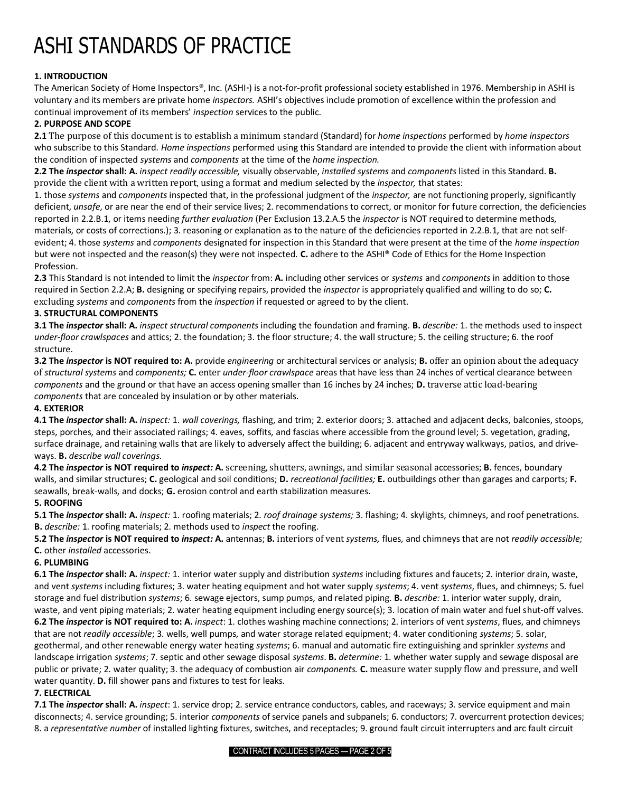# ASHI STANDARDS OF PRACTICE

# **1. INTRODUCTION**

The American Society of Home Inspectors®, Inc. (ASHI®) is a not-for-profit professional society established in 1976. Membership in ASHI is voluntary and its members are private home *inspectors.* ASHI's objectives include promotion of excellence within the profession and continual improvement of its members' *inspection* services to the public.

# **2. PURPOSE AND SCOPE**

**2.1** The purpose of this document is to establish a minimum standard (Standard) for *home inspections* performed by *home inspectors*  who subscribe to this Standard. *Home inspections* performed using this Standard are intended to provide the client with information about the condition of inspected *systems* and *components* at the time of the *home inspection.* 

**2.2 The** *inspector* **shall: A.** *inspect readily accessible,* visually observable, *installed systems* and *components* listed in this Standard. **B.**  provide the client with a written report, using a format and medium selected by the *inspector,* that states:

1. those *systems* and *components* inspected that, in the professional judgment of the *inspector,* are not functioning properly, significantly deficient, *unsafe*, or are near the end of their service lives; 2. recommendations to correct, or monitor for future correction, the deficiencies reported in 2.2.B.1, or items needing *further evaluation* (Per Exclusion 13.2.A.5 the *inspector* is NOT required to determine methods, materials, or costs of corrections.); 3. reasoning or explanation as to the nature of the deficiencies reported in 2.2.B.1, that are not selfevident; 4. those *systems* and *components* designated for inspection in this Standard that were present at the time of the *home inspection*  but were not inspected and the reason(s) they were not inspected. **C.** adhere to the ASHI® Code of Ethics for the Home Inspection Profession.

**2.3** This Standard is not intended to limit the *inspector* from: **A.** including other services or *systems* and *components* in addition to those required in Section 2.2.A; **B.** designing or specifying repairs, provided the *inspector* is appropriately qualified and willing to do so; **C.**  excluding *systems* and *components* from the *inspection* if requested or agreed to by the client.

# **3. STRUCTURAL COMPONENTS**

**3.1 The** *inspector* **shall: A.** *inspect structural components* including the foundation and framing. **B.** *describe:* 1. the methods used to inspect *under-floor crawlspaces* and attics; 2. the foundation; 3. the floor structure; 4. the wall structure; 5. the ceiling structure; 6. the roof structure.

**3.2 The** *inspector* **is NOT required to: A.** provide *engineering* or architectural services or analysis; **B.** offer an opinion about the adequacy of *structural systems* and *components;* **C.** enter *under-floor crawlspace* areas that have less than 24 inches of vertical clearance between *components* and the ground or that have an access opening smaller than 16 inches by 24 inches; **D.** traverse attic load-bearing *components* that are concealed by insulation or by other materials.

# **4. EXTERIOR**

**4.1 The** *inspector* **shall: A.** *inspect:* 1. *wall coverings,* flashing, and trim; 2. exterior doors; 3. attached and adjacent decks, balconies, stoops, steps, porches, and their associated railings; 4. eaves, soffits, and fascias where accessible from the ground level; 5. vegetation, grading, surface drainage, and retaining walls that are likely to adversely affect the building; 6. adjacent and entryway walkways, patios, and driveways. **B.** *describe wall coverings.* 

**4.2 The** *inspector* **is NOT required to** *inspect:* **A.** screening, shutters, awnings, and similar seasonal accessories; **B.** fences, boundary walls, and similar structures; **C.** geological and soil conditions; **D.** *recreational facilities;* **E.** outbuildings other than garages and carports; **F.**  seawalls, break-walls, and docks; **G.** erosion control and earth stabilization measures.

# **5. ROOFING**

**5.1 The** *inspector* **shall: A.** *inspect:* 1. roofing materials; 2*. roof drainage systems;* 3. flashing; 4. skylights, chimneys, and roof penetrations. **B.** *describe:* 1. roofing materials; 2. methods used to *inspect* the roofing.

**5.2 The** *inspector* **is NOT required to** *inspect:* **A.** antennas; **B.** interiors of vent *systems,* flues, and chimneys that are not *readily accessible;*  **C.** other *installed* accessories.

# **6. PLUMBING**

**6.1 The** *inspector* **shall: A.** *inspect:* 1. interior water supply and distribution *systems* including fixtures and faucets; 2. interior drain, waste, and vent *systems* including fixtures; 3. water heating equipment and hot water supply *systems*; 4. vent *systems*, flues, and chimneys; 5. fuel storage and fuel distribution *systems*; 6. sewage ejectors, sump pumps, and related piping. **B.** *describe:* 1. interior water supply, drain, waste, and vent piping materials; 2. water heating equipment including energy source(s); 3. location of main water and fuel shut-off valves. **6.2 The** *inspector* **is NOT required to: A.** *inspect*: 1. clothes washing machine connections; 2. interiors of vent *systems*, flues, and chimneys

that are not *readily accessible*; 3. wells, well pumps, and water storage related equipment; 4. water conditioning *systems*; 5. solar, geothermal, and other renewable energy water heating *systems*; 6. manual and automatic fire extinguishing and sprinkler *systems* and landscape irrigation *systems*; 7. septic and other sewage disposal *systems*. **B.** *determine:* 1. whether water supply and sewage disposal are public or private; 2. water quality; 3. the adequacy of combustion air *components.* **C.** measure water supply flow and pressure, and well water quantity. **D.** fill shower pans and fixtures to test for leaks.

# **7. ELECTRICAL**

**7.1 The** *inspector* **shall: A.** *inspect*: 1. service drop; 2. service entrance conductors, cables, and raceways; 3. service equipment and main disconnects; 4. service grounding; 5. interior *components* of service panels and subpanels; 6. conductors; 7. overcurrent protection devices; 8. a *representative number* of installed lighting fixtures, switches, and receptacles; 9. ground fault circuit interrupters and arc fault circuit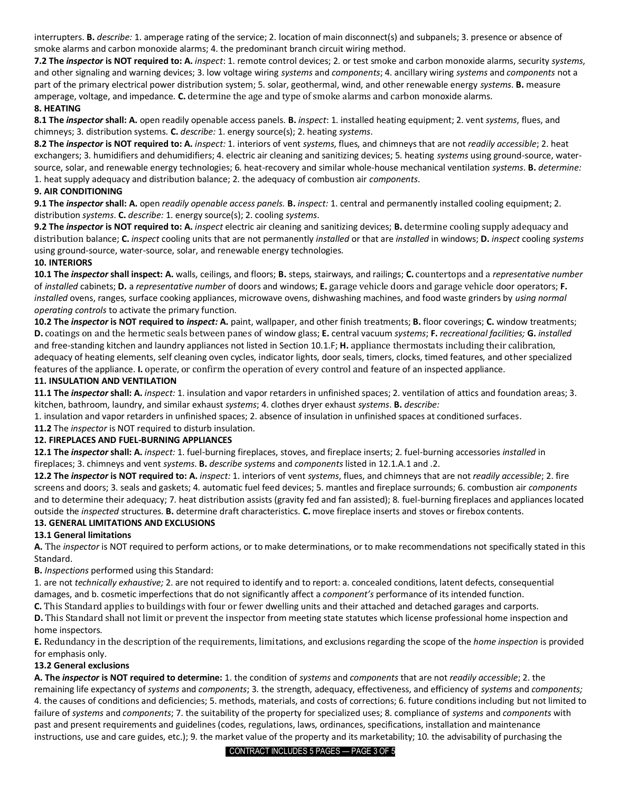interrupters. **B.** *describe:* 1. amperage rating of the service; 2. location of main disconnect(s) and subpanels; 3. presence or absence of smoke alarms and carbon monoxide alarms; 4. the predominant branch circuit wiring method.

**7.2 The** *inspector* **is NOT required to: A.** *inspect*: 1. remote control devices; 2. or test smoke and carbon monoxide alarms, security *systems*, and other signaling and warning devices; 3. low voltage wiring *systems* and *components*; 4. ancillary wiring *systems* and *components* not a part of the primary electrical power distribution system; 5. solar, geothermal, wind, and other renewable energy *systems*. **B.** measure amperage, voltage, and impedance. **C.** determine the age and type of smoke alarms and carbon monoxide alarms.

#### **8. HEATING**

**8.1 The** *inspector* **shall: A.** open readily openable access panels. **B.** *inspect*: 1. installed heating equipment; 2. vent *systems*, flues, and chimneys; 3. distribution systems. **C.** *describe:* 1. energy source(s); 2. heating *systems*.

**8.2 The** *inspector* **is NOT required to: A.** *inspect:* 1. interiors of vent *systems*, flues, and chimneys that are not *readily accessible*; 2. heat exchangers; 3. humidifiers and dehumidifiers; 4. electric air cleaning and sanitizing devices; 5. heating *systems* using ground-source, watersource, solar, and renewable energy technologies; 6. heat-recovery and similar whole-house mechanical ventilation *systems*. **B.** *determine:*  1. heat supply adequacy and distribution balance; 2. the adequacy of combustion air *components*.

#### **9. AIR CONDITIONING**

**9.1 The** *inspector* **shall: A.** open *readily openable access panels.* **B.** *inspect:* 1. central and permanently installed cooling equipment; 2. distribution *systems*. **C.** *describe:* 1. energy source(s); 2. cooling *systems*.

**9.2 The** *inspector* **is NOT required to: A.** *inspect* electric air cleaning and sanitizing devices; **B.** determine cooling supply adequacy and distribution balance; **C.** *inspect* cooling units that are not permanently *installed* or that are *installed* in windows; **D.** *inspect* cooling *systems*  using ground-source, water-source, solar, and renewable energy technologies.

#### **10. INTERIORS**

**10.1 The** *inspector* **shall inspect: A.** walls, ceilings, and floors; **B.** steps, stairways, and railings; **C.** countertops and a *representative number*  of *installed* cabinets; **D.** a *representative number* of doors and windows; **E.** garage vehicle doors and garage vehicle door operators; **F.**  *installed* ovens, ranges, surface cooking appliances, microwave ovens, dishwashing machines, and food waste grinders by *using normal operating controls* to activate the primary function.

**10.2 The** *inspector* **is NOT required to** *inspect:* **A.** paint, wallpaper, and other finish treatments; **B.** floor coverings; **C.** window treatments; **D.** coatings on and the hermetic seals between panes of window glass; **E.** central vacuum *systems*; **F.** *recreational facilities;* **G.** *installed*  and free-standing kitchen and laundry appliances not listed in Section 10.1.F; **H.** appliance thermostats including their calibration, adequacy of heating elements, self cleaning oven cycles, indicator lights, door seals, timers, clocks, timed features, and other specialized features of the appliance. **I.** operate, or confirm the operation of every control and feature of an inspected appliance. **11. INSULATION AND VENTILATION** 

**11.1 The** *inspector* **shall: A.** *inspect:* 1. insulation and vapor retarders in unfinished spaces; 2. ventilation of attics and foundation areas; 3. kitchen, bathroom, laundry, and similar exhaust *systems*; 4. clothes dryer exhaust *systems*. **B.** *describe:* 

1. insulation and vapor retarders in unfinished spaces; 2. absence of insulation in unfinished spaces at conditioned surfaces.

**11.2** The *inspector* is NOT required to disturb insulation.

#### **12. FIREPLACES AND FUEL-BURNING APPLIANCES**

**12.1 The** *inspector* **shall: A.** *inspect:* 1. fuel-burning fireplaces, stoves, and fireplace inserts; 2. fuel-burning accessories *installed* in fireplaces; 3. chimneys and vent *systems*. **B.** *describe systems* and *components* listed in 12.1.A.1 and .2.

**12.2 The** *inspector* **is NOT required to: A.** *inspect:* 1. interiors of vent *systems*, flues, and chimneys that are not *readily accessible*; 2. fire screens and doors; 3. seals and gaskets; 4. automatic fuel feed devices; 5. mantles and fireplace surrounds; 6. combustion air *components*  and to determine their adequacy; 7. heat distribution assists (gravity fed and fan assisted); 8. fuel-burning fireplaces and appliances located outside the *inspected* structures. **B.** determine draft characteristics. **C.** move fireplace inserts and stoves or firebox contents.

#### **13. GENERAL LIMITATIONS AND EXCLUSIONS**

# **13.1 General limitations**

**A.** The *inspector* is NOT required to perform actions, or to make determinations, or to make recommendations not specifically stated in this Standard.

**B.** *Inspections* performed using this Standard:

1. are not *technically exhaustive;* 2. are not required to identify and to report: a. concealed conditions, latent defects, consequential damages, and b. cosmetic imperfections that do not significantly affect a *component's* performance of its intended function.

**C.** This Standard applies to buildings with four or fewer dwelling units and their attached and detached garages and carports.

**D.** This Standard shall not limit or prevent the inspector from meeting state statutes which license professional home inspection and home inspectors.

**E.** Redundancy in the description of the requirements, limitations, and exclusions regarding the scope of the *home inspection* is provided for emphasis only.

# **13.2 General exclusions**

**A. The** *inspector* **is NOT required to determine:** 1. the condition of *systems* and *components* that are not *readily accessible*; 2. the remaining life expectancy of *systems* and *components*; 3. the strength, adequacy, effectiveness, and efficiency of *systems* and *components;*  4. the causes of conditions and deficiencies; 5. methods, materials, and costs of corrections; 6. future conditions including but not limited to failure of *systems* and *components*; 7. the suitability of the property for specialized uses; 8. compliance of *systems* and *components* with past and present requirements and guidelines (codes, regulations, laws, ordinances, specifications, installation and maintenance instructions, use and care guides, etc.); 9. the market value of the property and its marketability; 10. the advisability of purchasing the

CONTRACT INCLUDES 5 PAGES — PAGE 3 OF 5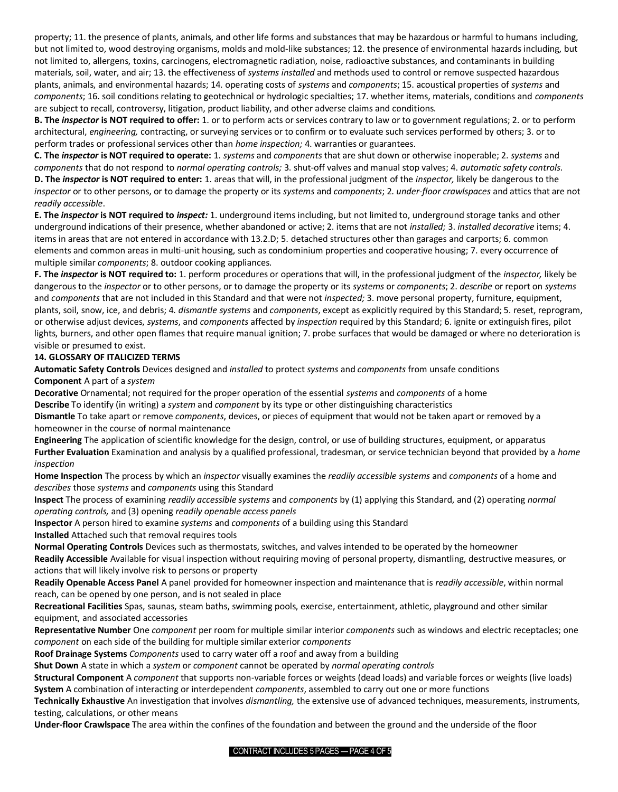property; 11. the presence of plants, animals, and other life forms and substances that may be hazardous or harmful to humans including, but not limited to, wood destroying organisms, molds and mold-like substances; 12. the presence of environmental hazards including, but not limited to, allergens, toxins, carcinogens, electromagnetic radiation, noise, radioactive substances, and contaminants in building materials, soil, water, and air; 13. the effectiveness of *systems installed* and methods used to control or remove suspected hazardous plants, animals, and environmental hazards; 14. operating costs of *systems* and *components*; 15. acoustical properties of *systems* and *components*; 16. soil conditions relating to geotechnical or hydrologic specialties; 17. whether items, materials, conditions and *components*  are subject to recall, controversy, litigation, product liability, and other adverse claims and conditions.

**B. The** *inspector* **is NOT required to offer:** 1. or to perform acts or services contrary to law or to government regulations; 2. or to perform architectural, *engineering,* contracting, or surveying services or to confirm or to evaluate such services performed by others; 3. or to perform trades or professional services other than *home inspection;* 4. warranties or guarantees.

**C. The** *inspector* **is NOT required to operate:** 1. *systems* and *components* that are shut down or otherwise inoperable; 2. *systems* and *components* that do not respond to *normal operating controls;* 3. shut-off valves and manual stop valves; 4. *automatic safety controls.*  **D. The** *inspector* **is NOT required to enter:** 1. areas that will, in the professional judgment of the *inspector,* likely be dangerous to the *inspector* or to other persons, or to damage the property or its *systems* and *components*; 2. *under-floor crawlspaces* and attics that are not *readily accessible*.

**E. The** *inspector* **is NOT required to** *inspect:* 1. underground items including, but not limited to, underground storage tanks and other underground indications of their presence, whether abandoned or active; 2. items that are not *installed;* 3. *installed decorative* items; 4. items in areas that are not entered in accordance with 13.2.D; 5. detached structures other than garages and carports; 6. common elements and common areas in multi-unit housing, such as condominium properties and cooperative housing; 7. every occurrence of multiple similar *components*; 8. outdoor cooking appliances.

**F. The** *inspector* **is NOT required to:** 1. perform procedures or operations that will, in the professional judgment of the *inspector,* likely be dangerous to the *inspector* or to other persons, or to damage the property or its *systems* or *components*; 2. *describe* or report on *systems*  and *components* that are not included in this Standard and that were not *inspected;* 3. move personal property, furniture, equipment, plants, soil, snow, ice, and debris; 4*. dismantle systems* and *components*, except as explicitly required by this Standard; 5. reset, reprogram, or otherwise adjust devices, *systems*, and *components* affected by *inspection* required by this Standard; 6. ignite or extinguish fires, pilot lights, burners, and other open flames that require manual ignition; 7. probe surfaces that would be damaged or where no deterioration is visible or presumed to exist.

# **14. GLOSSARY OF ITALICIZED TERMS**

**Automatic Safety Controls** Devices designed and *installed* to protect *systems* and *components* from unsafe conditions **Component** A part of a *system* 

**Decorative** Ornamental; not required for the proper operation of the essential *systems* and *components* of a home **Describe** To identify (in writing) a *system* and *component* by its type or other distinguishing characteristics

**Dismantle** To take apart or remove *components*, devices, or pieces of equipment that would not be taken apart or removed by a homeowner in the course of normal maintenance

**Engineering** The application of scientific knowledge for the design, control, or use of building structures, equipment, or apparatus **Further Evaluation** Examination and analysis by a qualified professional, tradesman, or service technician beyond that provided by a *home inspection* 

**Home Inspection** The process by which an *inspector* visually examines the *readily accessible systems* and *components* of a home and *describes* those *systems* and *components* using this Standard

**Inspect** The process of examining *readily accessible systems* and *components* by (1) applying this Standard, and (2) operating *normal operating controls,* and (3) opening *readily openable access panels* 

**Inspector** A person hired to examine *systems* and *components* of a building using this Standard

**Installed** Attached such that removal requires tools

**Normal Operating Controls** Devices such as thermostats, switches, and valves intended to be operated by the homeowner **Readily Accessible** Available for visual inspection without requiring moving of personal property, dismantling, destructive measures, or

actions that will likely involve risk to persons or property

**Readily Openable Access Panel** A panel provided for homeowner inspection and maintenance that is *readily accessible*, within normal reach, can be opened by one person, and is not sealed in place

**Recreational Facilities** Spas, saunas, steam baths, swimming pools, exercise, entertainment, athletic, playground and other similar equipment, and associated accessories

**Representative Number** One *component* per room for multiple similar interior *components* such as windows and electric receptacles; one *component* on each side of the building for multiple similar exterior *components* 

**Roof Drainage Systems** *Components* used to carry water off a roof and away from a building

**Shut Down** A state in which a *system* or *component* cannot be operated by *normal operating controls* 

**Structural Component** A *component* that supports non-variable forces or weights (dead loads) and variable forces or weights (live loads) **System** A combination of interacting or interdependent *components*, assembled to carry out one or more functions

**Technically Exhaustive** An investigation that involves *dismantling,* the extensive use of advanced techniques, measurements, instruments, testing, calculations, or other means

**Under-floor Crawlspace** The area within the confines of the foundation and between the ground and the underside of the floor

CONTRACT INCLUDES 5 PAGES — PAGE 4 OF 5